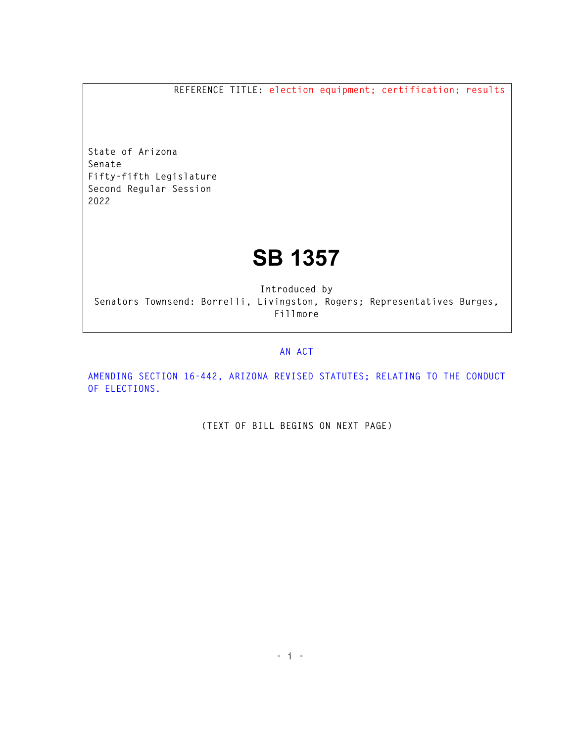**REFERENCE TITLE: election equipment; certification; results** 

**State of Arizona Senate Fifty-fifth Legislature Second Regular Session 2022** 

## **SB 1357**

**Introduced by Senators Townsend: Borrelli, Livingston, Rogers; Representatives Burges, Fillmore** 

## **AN ACT**

**AMENDING SECTION 16-442, ARIZONA REVISED STATUTES; RELATING TO THE CONDUCT OF ELECTIONS.** 

**(TEXT OF BILL BEGINS ON NEXT PAGE)**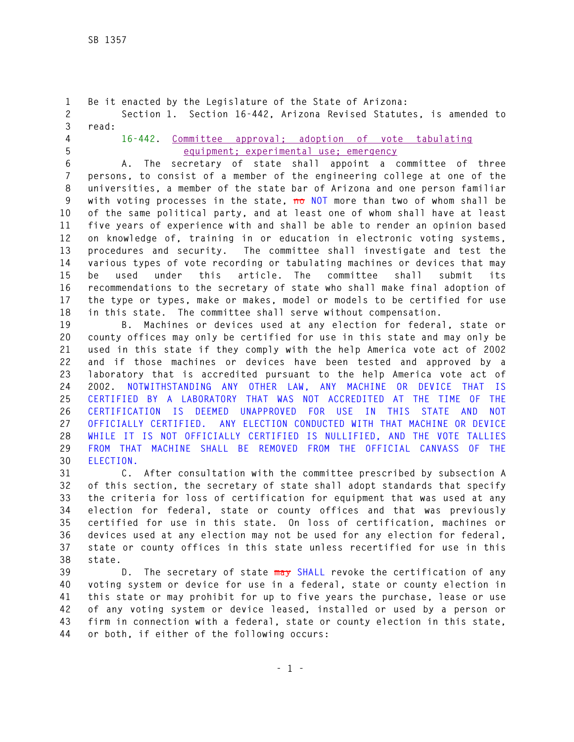**1 Be it enacted by the Legislature of the State of Arizona: 2 Section 1. Section 16-442, Arizona Revised Statutes, is amended to 3 read: 4 16-442. Committee approval; adoption of vote tabulating 5 equipment; experimental use; emergency 6 A. The secretary of state shall appoint a committee of three 7 persons, to consist of a member of the engineering college at one of the 8 universities, a member of the state bar of Arizona and one person familiar 9 with voting processes in the state, no NOT more than two of whom shall be 10 of the same political party, and at least one of whom shall have at least 11 five years of experience with and shall be able to render an opinion based 12 on knowledge of, training in or education in electronic voting systems, 13 procedures and security. The committee shall investigate and test the 14 various types of vote recording or tabulating machines or devices that may 15 be used under this article. The committee shall submit its 16 recommendations to the secretary of state who shall make final adoption of 17 the type or types, make or makes, model or models to be certified for use 18 in this state. The committee shall serve without compensation. 19 B. Machines or devices used at any election for federal, state or 20 county offices may only be certified for use in this state and may only be 21 used in this state if they comply with the help America vote act of 2002 22 and if those machines or devices have been tested and approved by a 23 laboratory that is accredited pursuant to the help America vote act of 24 2002. NOTWITHSTANDING ANY OTHER LAW, ANY MACHINE OR DEVICE THAT IS 25 CERTIFIED BY A LABORATORY THAT WAS NOT ACCREDITED AT THE TIME OF THE 26 CERTIFICATION IS DEEMED UNAPPROVED FOR USE IN THIS STATE AND NOT 27 OFFICIALLY CERTIFIED. ANY ELECTION CONDUCTED WITH THAT MACHINE OR DEVICE 28 WHILE IT IS NOT OFFICIALLY CERTIFIED IS NULLIFIED, AND THE VOTE TALLIES 29 FROM THAT MACHINE SHALL BE REMOVED FROM THE OFFICIAL CANVASS OF THE 30 ELECTION. 31 C. After consultation with the committee prescribed by subsection A 32 of this section, the secretary of state shall adopt standards that specify 33 the criteria for loss of certification for equipment that was used at any 34 election for federal, state or county offices and that was previously 35 certified for use in this state. On loss of certification, machines or 36 devices used at any election may not be used for any election for federal,** 

**38 state. 39 D. The secretary of state may SHALL revoke the certification of any 40 voting system or device for use in a federal, state or county election in 41 this state or may prohibit for up to five years the purchase, lease or use 42 of any voting system or device leased, installed or used by a person or 43 firm in connection with a federal, state or county election in this state, 44 or both, if either of the following occurs:** 

**37 state or county offices in this state unless recertified for use in this**